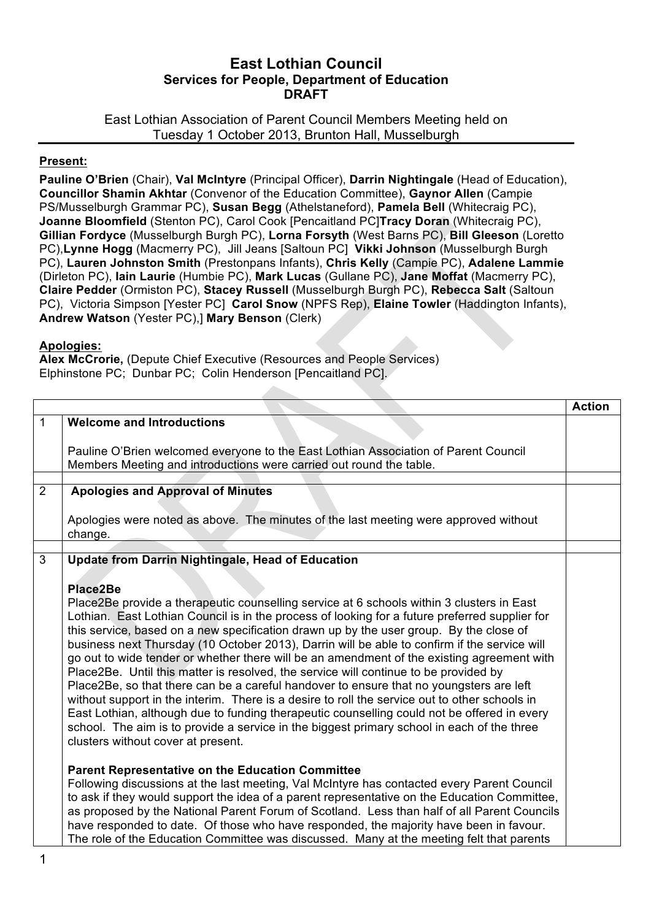## **East Lothian Council Services for People, Department of Education DRAFT**

East Lothian Association of Parent Council Members Meeting held on Tuesday 1 October 2013, Brunton Hall, Musselburgh

## **Present:**

**Pauline O'Brien** (Chair), **Val McIntyre** (Principal Officer), **Darrin Nightingale** (Head of Education), **Councillor Shamin Akhtar** (Convenor of the Education Committee), **Gaynor Allen** (Campie PS/Musselburgh Grammar PC), **Susan Begg** (Athelstaneford), **Pamela Bell** (Whitecraig PC), **Joanne Bloomfield** (Stenton PC), Carol Cook [Pencaitland PC]**Tracy Doran** (Whitecraig PC), **Gillian Fordyce** (Musselburgh Burgh PC), **Lorna Forsyth** (West Barns PC), **Bill Gleeson** (Loretto PC),**Lynne Hogg** (Macmerry PC), Jill Jeans [Saltoun PC] **Vikki Johnson** (Musselburgh Burgh PC), **Lauren Johnston Smith** (Prestonpans Infants), **Chris Kelly** (Campie PC), **Adalene Lammie**  (Dirleton PC), **Iain Laurie** (Humbie PC), **Mark Lucas** (Gullane PC), **Jane Moffat** (Macmerry PC), **Claire Pedder** (Ormiston PC), **Stacey Russell** (Musselburgh Burgh PC), **Rebecca Salt** (Saltoun PC), Victoria Simpson [Yester PC] **Carol Snow** (NPFS Rep), **Elaine Towler** (Haddington Infants), **Andrew Watson** (Yester PC),] **Mary Benson** (Clerk)

## **Apologies:**

**Alex McCrorie,** (Depute Chief Executive (Resources and People Services) Elphinstone PC; Dunbar PC; Colin Henderson [Pencaitland PC].

|   |                                                                                                                                                                                                                                                                                           | <b>Action</b> |
|---|-------------------------------------------------------------------------------------------------------------------------------------------------------------------------------------------------------------------------------------------------------------------------------------------|---------------|
| 1 | <b>Welcome and Introductions</b>                                                                                                                                                                                                                                                          |               |
|   | Pauline O'Brien welcomed everyone to the East Lothian Association of Parent Council<br>Members Meeting and introductions were carried out round the table.                                                                                                                                |               |
|   |                                                                                                                                                                                                                                                                                           |               |
| 2 | <b>Apologies and Approval of Minutes</b>                                                                                                                                                                                                                                                  |               |
|   | Apologies were noted as above. The minutes of the last meeting were approved without<br>change.                                                                                                                                                                                           |               |
|   |                                                                                                                                                                                                                                                                                           |               |
| 3 | <b>Update from Darrin Nightingale, Head of Education</b>                                                                                                                                                                                                                                  |               |
|   | Place2Be                                                                                                                                                                                                                                                                                  |               |
|   | Place2Be provide a therapeutic counselling service at 6 schools within 3 clusters in East<br>Lothian. East Lothian Council is in the process of looking for a future preferred supplier for<br>this service, based on a new specification drawn up by the user group. By the close of     |               |
|   | business next Thursday (10 October 2013), Darrin will be able to confirm if the service will<br>go out to wide tender or whether there will be an amendment of the existing agreement with<br>Place2Be. Until this matter is resolved, the service will continue to be provided by        |               |
|   | Place2Be, so that there can be a careful handover to ensure that no youngsters are left<br>without support in the interim. There is a desire to roll the service out to other schools in<br>East Lothian, although due to funding therapeutic counselling could not be offered in every   |               |
|   | school. The aim is to provide a service in the biggest primary school in each of the three<br>clusters without cover at present.                                                                                                                                                          |               |
|   | <b>Parent Representative on the Education Committee</b>                                                                                                                                                                                                                                   |               |
|   | Following discussions at the last meeting, Val McIntyre has contacted every Parent Council<br>to ask if they would support the idea of a parent representative on the Education Committee,<br>as proposed by the National Parent Forum of Scotland. Less than half of all Parent Councils |               |
|   | have responded to date. Of those who have responded, the majority have been in favour.<br>The role of the Education Committee was discussed. Many at the meeting felt that parents                                                                                                        |               |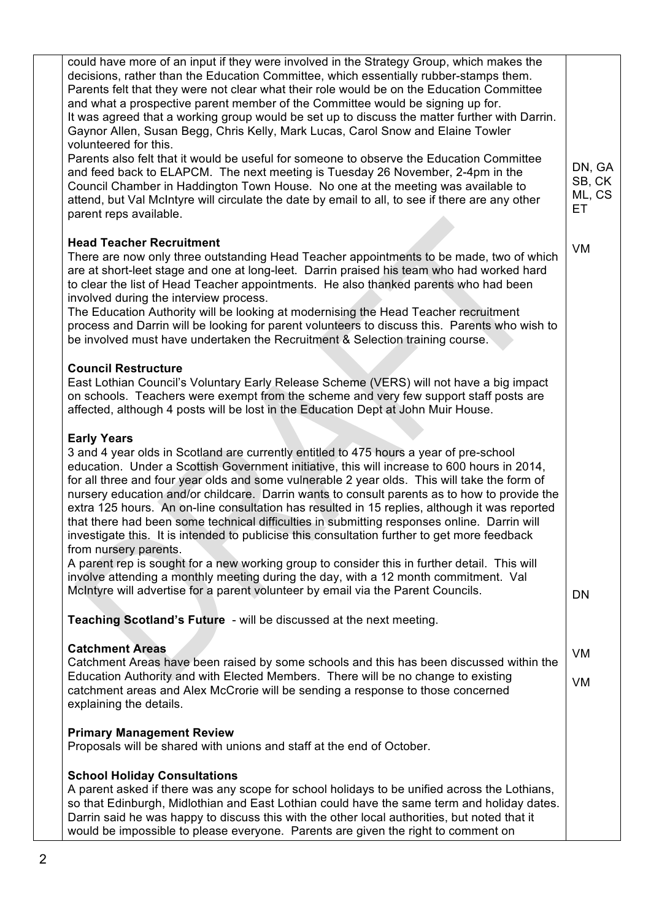| could have more of an input if they were involved in the Strategy Group, which makes the<br>decisions, rather than the Education Committee, which essentially rubber-stamps them.<br>Parents felt that they were not clear what their role would be on the Education Committee<br>and what a prospective parent member of the Committee would be signing up for.<br>It was agreed that a working group would be set up to discuss the matter further with Darrin.<br>Gaynor Allen, Susan Begg, Chris Kelly, Mark Lucas, Carol Snow and Elaine Towler<br>volunteered for this.<br>Parents also felt that it would be useful for someone to observe the Education Committee<br>and feed back to ELAPCM. The next meeting is Tuesday 26 November, 2-4pm in the<br>Council Chamber in Haddington Town House. No one at the meeting was available to<br>attend, but Val McIntyre will circulate the date by email to all, to see if there are any other<br>parent reps available. | DN, GA<br>SB, CK<br>ML, CS<br>ЕT |
|------------------------------------------------------------------------------------------------------------------------------------------------------------------------------------------------------------------------------------------------------------------------------------------------------------------------------------------------------------------------------------------------------------------------------------------------------------------------------------------------------------------------------------------------------------------------------------------------------------------------------------------------------------------------------------------------------------------------------------------------------------------------------------------------------------------------------------------------------------------------------------------------------------------------------------------------------------------------------|----------------------------------|
| <b>Head Teacher Recruitment</b><br>There are now only three outstanding Head Teacher appointments to be made, two of which<br>are at short-leet stage and one at long-leet. Darrin praised his team who had worked hard<br>to clear the list of Head Teacher appointments. He also thanked parents who had been<br>involved during the interview process.<br>The Education Authority will be looking at modernising the Head Teacher recruitment<br>process and Darrin will be looking for parent volunteers to discuss this. Parents who wish to<br>be involved must have undertaken the Recruitment & Selection training course.                                                                                                                                                                                                                                                                                                                                           | VM                               |
| <b>Council Restructure</b><br>East Lothian Council's Voluntary Early Release Scheme (VERS) will not have a big impact<br>on schools. Teachers were exempt from the scheme and very few support staff posts are<br>affected, although 4 posts will be lost in the Education Dept at John Muir House.                                                                                                                                                                                                                                                                                                                                                                                                                                                                                                                                                                                                                                                                          |                                  |
| <b>Early Years</b><br>3 and 4 year olds in Scotland are currently entitled to 475 hours a year of pre-school<br>education. Under a Scottish Government initiative, this will increase to 600 hours in 2014,<br>for all three and four year olds and some vulnerable 2 year olds. This will take the form of<br>nursery education and/or childcare. Darrin wants to consult parents as to how to provide the<br>extra 125 hours. An on-line consultation has resulted in 15 replies, although it was reported<br>that there had been some technical difficulties in submitting responses online. Darrin will<br>investigate this. It is intended to publicise this consultation further to get more feedback<br>from nursery parents.                                                                                                                                                                                                                                         |                                  |
| A parent rep is sought for a new working group to consider this in further detail. This will<br>involve attending a monthly meeting during the day, with a 12 month commitment. Val<br>McIntyre will advertise for a parent volunteer by email via the Parent Councils.                                                                                                                                                                                                                                                                                                                                                                                                                                                                                                                                                                                                                                                                                                      | DN                               |
| Teaching Scotland's Future - will be discussed at the next meeting.                                                                                                                                                                                                                                                                                                                                                                                                                                                                                                                                                                                                                                                                                                                                                                                                                                                                                                          |                                  |
| <b>Catchment Areas</b><br>Catchment Areas have been raised by some schools and this has been discussed within the<br>Education Authority and with Elected Members. There will be no change to existing<br>catchment areas and Alex McCrorie will be sending a response to those concerned<br>explaining the details.                                                                                                                                                                                                                                                                                                                                                                                                                                                                                                                                                                                                                                                         | VM<br>VM                         |
| <b>Primary Management Review</b><br>Proposals will be shared with unions and staff at the end of October.                                                                                                                                                                                                                                                                                                                                                                                                                                                                                                                                                                                                                                                                                                                                                                                                                                                                    |                                  |
| <b>School Holiday Consultations</b><br>A parent asked if there was any scope for school holidays to be unified across the Lothians,<br>so that Edinburgh, Midlothian and East Lothian could have the same term and holiday dates.<br>Darrin said he was happy to discuss this with the other local authorities, but noted that it<br>would be impossible to please everyone. Parents are given the right to comment on                                                                                                                                                                                                                                                                                                                                                                                                                                                                                                                                                       |                                  |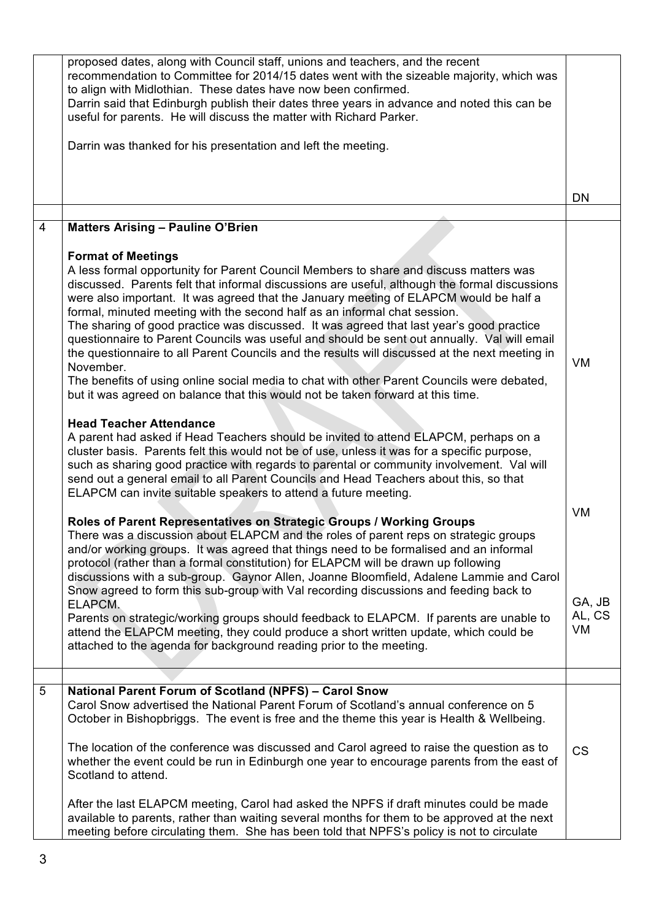|                | proposed dates, along with Council staff, unions and teachers, and the recent<br>recommendation to Committee for 2014/15 dates went with the sizeable majority, which was<br>to align with Midlothian. These dates have now been confirmed.<br>Darrin said that Edinburgh publish their dates three years in advance and noted this can be<br>useful for parents. He will discuss the matter with Richard Parker.                                                                                                                                                                                                                                                                                                                                                                                                                                                                                                                                                                              |                        |
|----------------|------------------------------------------------------------------------------------------------------------------------------------------------------------------------------------------------------------------------------------------------------------------------------------------------------------------------------------------------------------------------------------------------------------------------------------------------------------------------------------------------------------------------------------------------------------------------------------------------------------------------------------------------------------------------------------------------------------------------------------------------------------------------------------------------------------------------------------------------------------------------------------------------------------------------------------------------------------------------------------------------|------------------------|
|                | Darrin was thanked for his presentation and left the meeting.                                                                                                                                                                                                                                                                                                                                                                                                                                                                                                                                                                                                                                                                                                                                                                                                                                                                                                                                  |                        |
|                |                                                                                                                                                                                                                                                                                                                                                                                                                                                                                                                                                                                                                                                                                                                                                                                                                                                                                                                                                                                                | <b>DN</b>              |
|                |                                                                                                                                                                                                                                                                                                                                                                                                                                                                                                                                                                                                                                                                                                                                                                                                                                                                                                                                                                                                |                        |
| $\overline{4}$ | <b>Matters Arising - Pauline O'Brien</b><br><b>Format of Meetings</b>                                                                                                                                                                                                                                                                                                                                                                                                                                                                                                                                                                                                                                                                                                                                                                                                                                                                                                                          |                        |
|                | A less formal opportunity for Parent Council Members to share and discuss matters was<br>discussed. Parents felt that informal discussions are useful, although the formal discussions<br>were also important. It was agreed that the January meeting of ELAPCM would be half a<br>formal, minuted meeting with the second half as an informal chat session.<br>The sharing of good practice was discussed. It was agreed that last year's good practice<br>questionnaire to Parent Councils was useful and should be sent out annually. Val will email<br>the questionnaire to all Parent Councils and the results will discussed at the next meeting in<br>November.<br>The benefits of using online social media to chat with other Parent Councils were debated,<br>but it was agreed on balance that this would not be taken forward at this time.<br><b>Head Teacher Attendance</b><br>A parent had asked if Head Teachers should be invited to attend ELAPCM, perhaps on a              | <b>VM</b>              |
|                | cluster basis. Parents felt this would not be of use, unless it was for a specific purpose,<br>such as sharing good practice with regards to parental or community involvement. Val will<br>send out a general email to all Parent Councils and Head Teachers about this, so that<br>ELAPCM can invite suitable speakers to attend a future meeting.<br>Roles of Parent Representatives on Strategic Groups / Working Groups<br>There was a discussion about ELAPCM and the roles of parent reps on strategic groups<br>and/or working groups. It was agreed that things need to be formalised and an informal<br>protocol (rather than a formal constitution) for ELAPCM will be drawn up following<br>discussions with a sub-group. Gaynor Allen, Joanne Bloomfield, Adalene Lammie and Carol<br>Snow agreed to form this sub-group with Val recording discussions and feeding back to<br>ELAPCM.<br>Parents on strategic/working groups should feedback to ELAPCM. If parents are unable to | VM<br>GA, JB<br>AL, CS |
|                | attend the ELAPCM meeting, they could produce a short written update, which could be<br>attached to the agenda for background reading prior to the meeting.                                                                                                                                                                                                                                                                                                                                                                                                                                                                                                                                                                                                                                                                                                                                                                                                                                    | VM                     |
|                |                                                                                                                                                                                                                                                                                                                                                                                                                                                                                                                                                                                                                                                                                                                                                                                                                                                                                                                                                                                                |                        |
| 5              | <b>National Parent Forum of Scotland (NPFS) - Carol Snow</b><br>Carol Snow advertised the National Parent Forum of Scotland's annual conference on 5<br>October in Bishopbriggs. The event is free and the theme this year is Health & Wellbeing.<br>The location of the conference was discussed and Carol agreed to raise the question as to<br>whether the event could be run in Edinburgh one year to encourage parents from the east of<br>Scotland to attend.                                                                                                                                                                                                                                                                                                                                                                                                                                                                                                                            | <b>CS</b>              |
|                | After the last ELAPCM meeting, Carol had asked the NPFS if draft minutes could be made<br>available to parents, rather than waiting several months for them to be approved at the next<br>meeting before circulating them. She has been told that NPFS's policy is not to circulate                                                                                                                                                                                                                                                                                                                                                                                                                                                                                                                                                                                                                                                                                                            |                        |